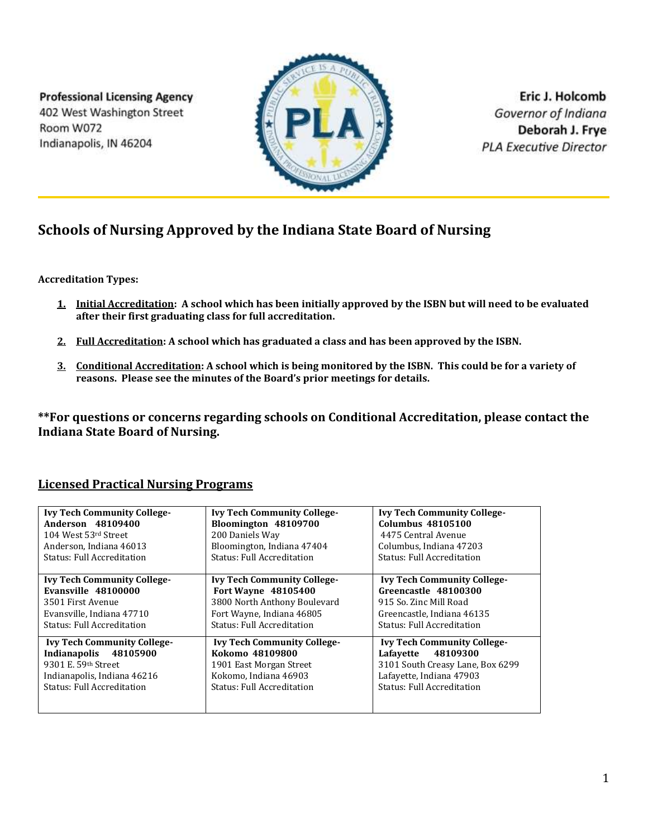**Professional Licensing Agency** 402 West Washington Street Room W072 Indianapolis, IN 46204



Eric J. Holcomb Governor of Indiana Deborah J. Frye **PLA Executive Director** 

## **Schools of Nursing Approved by the Indiana State Board of Nursing**

**Accreditation Types:**

- **1. Initial Accreditation: A school which has been initially approved by the ISBN but will need to be evaluated after their first graduating class for full accreditation.**
- **2. Full Accreditation: A school which has graduated a class and has been approved by the ISBN.**
- **3. Conditional Accreditation: A school which is being monitored by the ISBN. This could be for a variety of reasons. Please see the minutes of the Board's prior meetings for details.**

**\*\*For questions or concerns regarding schools on Conditional Accreditation, please contact the Indiana State Board of Nursing.**

## **Licensed Practical Nursing Programs**

| <b>Ivy Tech Community College-</b> | <b>Ivy Tech Community College-</b> | <b>Ivy Tech Community College-</b> |
|------------------------------------|------------------------------------|------------------------------------|
| Anderson 48109400                  | Bloomington 48109700               | <b>Columbus 48105100</b>           |
| 104 West 53rd Street               | 200 Daniels Way                    | 4475 Central Avenue                |
| Anderson, Indiana 46013            | Bloomington, Indiana 47404         | Columbus, Indiana 47203            |
| <b>Status: Full Accreditation</b>  | <b>Status: Full Accreditation</b>  | <b>Status: Full Accreditation</b>  |
|                                    |                                    |                                    |
| <b>Ivy Tech Community College-</b> | <b>Ivy Tech Community College-</b> | <b>Ivy Tech Community College-</b> |
| Evansville 48100000                | Fort Wayne 48105400                | Greencastle 48100300               |
| 3501 First Avenue                  | 3800 North Anthony Boulevard       | 915 So. Zinc Mill Road             |
| Evansville, Indiana 47710          | Fort Wayne, Indiana 46805          | Greencastle. Indiana 46135         |
| <b>Status: Full Accreditation</b>  | <b>Status: Full Accreditation</b>  | <b>Status: Full Accreditation</b>  |
| <b>Ivy Tech Community College-</b> | <b>Ivy Tech Community College-</b> | <b>Ivy Tech Community College-</b> |
| Indianapolis 48105900              | Kokomo 48109800                    | Lafayette 48109300                 |
| 9301 E. 59th Street                | 1901 East Morgan Street            | 3101 South Creasy Lane, Box 6299   |
| Indianapolis, Indiana 46216        | Kokomo, Indiana 46903              | Lafayette, Indiana 47903           |
| <b>Status: Full Accreditation</b>  | <b>Status: Full Accreditation</b>  | <b>Status: Full Accreditation</b>  |
|                                    |                                    |                                    |
|                                    |                                    |                                    |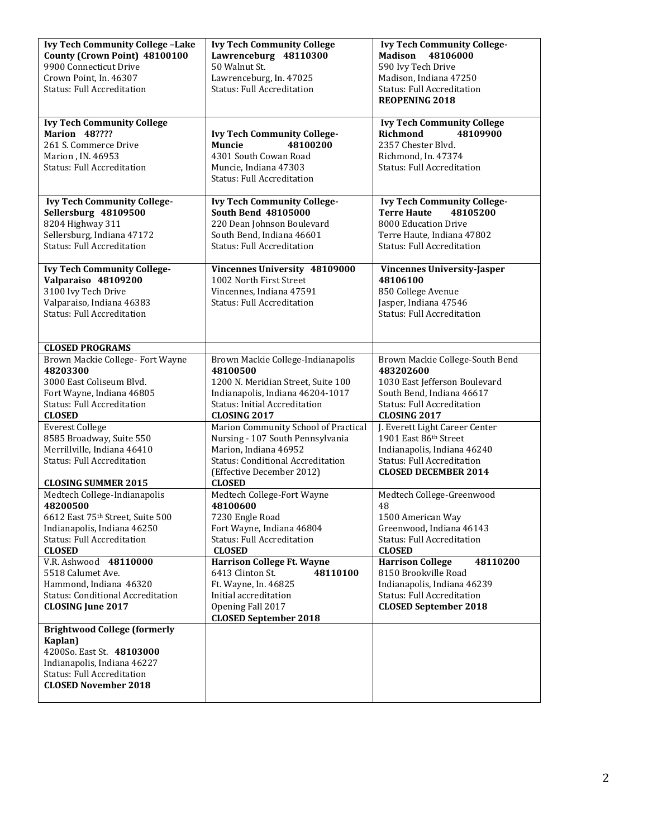| <b>Ivy Tech Community College -Lake</b><br>County (Crown Point) 48100100<br>9900 Connecticut Drive                                                                             | <b>Ivy Tech Community College</b><br>Lawrenceburg 48110300<br>50 Walnut St.                                                                                                                 | <b>Ivy Tech Community College-</b><br>Madison<br>48106000<br>590 Ivy Tech Drive                                                                                        |
|--------------------------------------------------------------------------------------------------------------------------------------------------------------------------------|---------------------------------------------------------------------------------------------------------------------------------------------------------------------------------------------|------------------------------------------------------------------------------------------------------------------------------------------------------------------------|
| Crown Point, In. 46307<br><b>Status: Full Accreditation</b>                                                                                                                    | Lawrenceburg, In. 47025<br><b>Status: Full Accreditation</b>                                                                                                                                | Madison, Indiana 47250<br><b>Status: Full Accreditation</b><br><b>REOPENING 2018</b>                                                                                   |
| <b>Ivy Tech Community College</b><br><b>Marion 48????</b><br>261 S. Commerce Drive<br>Marion, IN. 46953<br><b>Status: Full Accreditation</b>                                   | <b>Ivy Tech Community College-</b><br><b>Muncie</b><br>48100200<br>4301 South Cowan Road<br>Muncie, Indiana 47303<br><b>Status: Full Accreditation</b>                                      | <b>Ivy Tech Community College</b><br><b>Richmond</b><br>48109900<br>2357 Chester Blvd.<br>Richmond, In. 47374<br><b>Status: Full Accreditation</b>                     |
| <b>Ivy Tech Community College-</b><br>Sellersburg 48109500<br>8204 Highway 311<br>Sellersburg, Indiana 47172<br><b>Status: Full Accreditation</b>                              | <b>Ivy Tech Community College-</b><br><b>South Bend 48105000</b><br>220 Dean Johnson Boulevard<br>South Bend, Indiana 46601<br><b>Status: Full Accreditation</b>                            | <b>Ivy Tech Community College-</b><br>48105200<br><b>Terre Haute</b><br>8000 Education Drive<br>Terre Haute, Indiana 47802<br><b>Status: Full Accreditation</b>        |
| <b>Ivy Tech Community College-</b><br>Valparaiso 48109200<br>3100 Ivy Tech Drive<br>Valparaiso, Indiana 46383<br>Status: Full Accreditation<br><b>CLOSED PROGRAMS</b>          | Vincennes University 48109000<br>1002 North First Street<br>Vincennes, Indiana 47591<br><b>Status: Full Accreditation</b>                                                                   | <b>Vincennes University-Jasper</b><br>48106100<br>850 College Avenue<br>Jasper, Indiana 47546<br><b>Status: Full Accreditation</b>                                     |
| Brown Mackie College- Fort Wayne<br>48203300<br>3000 East Coliseum Blvd.<br>Fort Wayne, Indiana 46805<br><b>Status: Full Accreditation</b><br><b>CLOSED</b>                    | Brown Mackie College-Indianapolis<br>48100500<br>1200 N. Meridian Street, Suite 100<br>Indianapolis, Indiana 46204-1017<br><b>Status: Initial Accreditation</b><br><b>CLOSING 2017</b>      | Brown Mackie College-South Bend<br>483202600<br>1030 East Jefferson Boulevard<br>South Bend, Indiana 46617<br><b>Status: Full Accreditation</b><br><b>CLOSING 2017</b> |
| <b>Everest College</b><br>8585 Broadway, Suite 550<br>Merrillville, Indiana 46410<br><b>Status: Full Accreditation</b><br><b>CLOSING SUMMER 2015</b>                           | Marion Community School of Practical<br>Nursing - 107 South Pennsylvania<br>Marion, Indiana 46952<br><b>Status: Conditional Accreditation</b><br>(Effective December 2012)<br><b>CLOSED</b> | J. Everett Light Career Center<br>1901 East 86th Street<br>Indianapolis, Indiana 46240<br><b>Status: Full Accreditation</b><br><b>CLOSED DECEMBER 2014</b>             |
| Medtech College-Indianapolis<br>48200500<br>6612 East 75th Street, Suite 500<br>Indianapolis, Indiana 46250<br><b>Status: Full Accreditation</b><br><b>CLOSED</b>              | Medtech College-Fort Wayne<br>48100600<br>7230 Engle Road<br>Fort Wayne, Indiana 46804<br><b>Status: Full Accreditation</b><br><b>CLOSED</b>                                                | Medtech College-Greenwood<br>48<br>1500 American Way<br>Greenwood, Indiana 46143<br><b>Status: Full Accreditation</b><br><b>CLOSED</b>                                 |
| V.R. Ashwood 48110000<br>5518 Calumet Ave.<br>Hammond, Indiana 46320<br><b>Status: Conditional Accreditation</b><br><b>CLOSING June 2017</b>                                   | <b>Harrison College Ft. Wayne</b><br>6413 Clinton St.<br>48110100<br>Ft. Wayne, In. 46825<br>Initial accreditation<br>Opening Fall 2017<br><b>CLOSED September 2018</b>                     | <b>Harrison College</b><br>48110200<br>8150 Brookville Road<br>Indianapolis, Indiana 46239<br>Status: Full Accreditation<br><b>CLOSED September 2018</b>               |
| <b>Brightwood College (formerly</b><br>Kaplan)<br>4200So. East St. 48103000<br>Indianapolis, Indiana 46227<br><b>Status: Full Accreditation</b><br><b>CLOSED November 2018</b> |                                                                                                                                                                                             |                                                                                                                                                                        |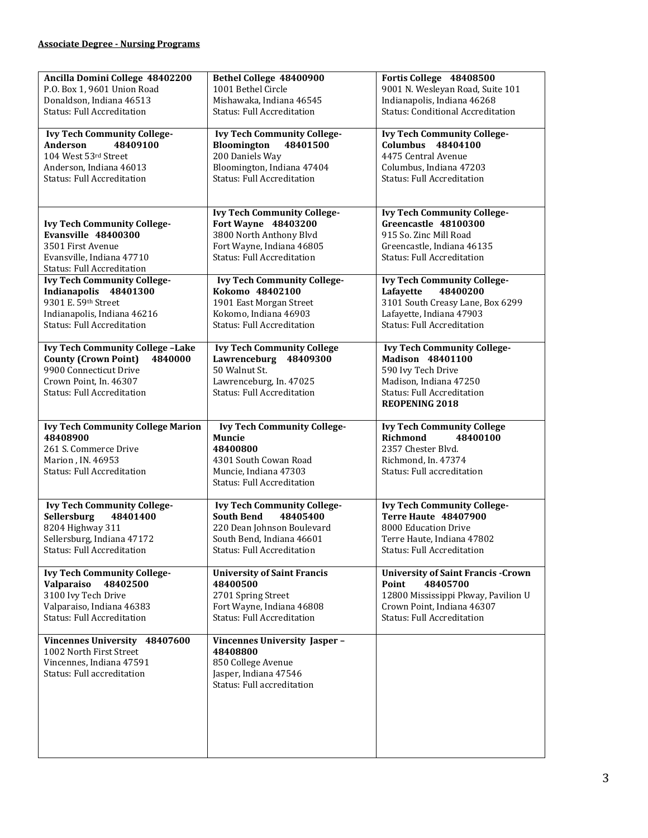| Ancilla Domini College 48402200          | Bethel College 48400900            | Fortis College 48408500                   |
|------------------------------------------|------------------------------------|-------------------------------------------|
| P.O. Box 1, 9601 Union Road              | 1001 Bethel Circle                 | 9001 N. Wesleyan Road, Suite 101          |
|                                          |                                    |                                           |
| Donaldson, Indiana 46513                 | Mishawaka, Indiana 46545           | Indianapolis, Indiana 46268               |
| <b>Status: Full Accreditation</b>        | <b>Status: Full Accreditation</b>  | <b>Status: Conditional Accreditation</b>  |
|                                          |                                    |                                           |
| <b>Ivy Tech Community College-</b>       | <b>Ivy Tech Community College-</b> | <b>Ivy Tech Community College-</b>        |
|                                          |                                    |                                           |
| Anderson<br>48409100                     | Bloomington<br>48401500            | <b>Columbus 48404100</b>                  |
| 104 West 53rd Street                     | 200 Daniels Way                    | 4475 Central Avenue                       |
| Anderson, Indiana 46013                  | Bloomington, Indiana 47404         | Columbus, Indiana 47203                   |
|                                          |                                    |                                           |
| <b>Status: Full Accreditation</b>        | <b>Status: Full Accreditation</b>  | <b>Status: Full Accreditation</b>         |
|                                          |                                    |                                           |
|                                          |                                    |                                           |
|                                          | <b>Ivy Tech Community College-</b> | <b>Ivy Tech Community College-</b>        |
|                                          |                                    |                                           |
| <b>Ivy Tech Community College-</b>       | Fort Wayne 48403200                | Greencastle 48100300                      |
| Evansville 48400300                      | 3800 North Anthony Blvd            | 915 So. Zinc Mill Road                    |
| 3501 First Avenue                        | Fort Wayne, Indiana 46805          | Greencastle, Indiana 46135                |
|                                          | <b>Status: Full Accreditation</b>  | <b>Status: Full Accreditation</b>         |
| Evansville, Indiana 47710                |                                    |                                           |
| <b>Status: Full Accreditation</b>        |                                    |                                           |
| <b>Ivy Tech Community College-</b>       | <b>Ivy Tech Community College-</b> | <b>Ivy Tech Community College-</b>        |
| Indianapolis 48401300                    | Kokomo 48402100                    | 48400200<br>Lafayette                     |
| 9301 E. 59th Street                      | 1901 East Morgan Street            | 3101 South Creasy Lane, Box 6299          |
|                                          |                                    |                                           |
| Indianapolis, Indiana 46216              | Kokomo, Indiana 46903              | Lafayette, Indiana 47903                  |
| <b>Status: Full Accreditation</b>        | <b>Status: Full Accreditation</b>  | <b>Status: Full Accreditation</b>         |
|                                          |                                    |                                           |
| <b>Ivy Tech Community College -Lake</b>  | <b>Ivy Tech Community College</b>  | <b>Ivy Tech Community College-</b>        |
| <b>County (Crown Point)</b><br>4840000   | Lawrenceburg 48409300              | Madison 48401100                          |
|                                          |                                    |                                           |
| 9900 Connecticut Drive                   | 50 Walnut St.                      | 590 Ivy Tech Drive                        |
| Crown Point, In. 46307                   | Lawrenceburg, In. 47025            | Madison, Indiana 47250                    |
| <b>Status: Full Accreditation</b>        | <b>Status: Full Accreditation</b>  | <b>Status: Full Accreditation</b>         |
|                                          |                                    |                                           |
|                                          |                                    |                                           |
|                                          |                                    | <b>REOPENING 2018</b>                     |
|                                          |                                    |                                           |
| <b>Ivy Tech Community College Marion</b> | <b>Ivy Tech Community College-</b> | <b>Ivy Tech Community College</b>         |
| 48408900                                 | <b>Muncie</b>                      | Richmond<br>48400100                      |
|                                          |                                    |                                           |
| 261 S. Commerce Drive                    | 48400800                           | 2357 Chester Blvd.                        |
| Marion, IN. 46953                        | 4301 South Cowan Road              | Richmond, In. 47374                       |
| <b>Status: Full Accreditation</b>        | Muncie, Indiana 47303              | Status: Full accreditation                |
|                                          | <b>Status: Full Accreditation</b>  |                                           |
|                                          |                                    |                                           |
|                                          |                                    |                                           |
| <b>Ivy Tech Community College-</b>       | <b>Ivy Tech Community College-</b> | <b>Ivy Tech Community College-</b>        |
| <b>Sellersburg</b><br>48401400           | <b>South Bend</b><br>48405400      | <b>Terre Haute 48407900</b>               |
| 8204 Highway 311                         | 220 Dean Johnson Boulevard         | 8000 Education Drive                      |
|                                          |                                    |                                           |
| Sellersburg, Indiana 47172               | South Bend, Indiana 46601          | Terre Haute, Indiana 47802                |
| <b>Status: Full Accreditation</b>        | <b>Status: Full Accreditation</b>  | <b>Status: Full Accreditation</b>         |
|                                          |                                    |                                           |
| <b>Ivy Tech Community College-</b>       | <b>University of Saint Francis</b> | <b>University of Saint Francis -Crown</b> |
| <b>Valparaiso</b><br>48402500            | 48400500                           | Point<br>48405700                         |
|                                          |                                    |                                           |
| 3100 Ivy Tech Drive                      | 2701 Spring Street                 | 12800 Mississippi Pkway, Pavilion U       |
| Valparaiso, Indiana 46383                | Fort Wayne, Indiana 46808          | Crown Point, Indiana 46307                |
| <b>Status: Full Accreditation</b>        | <b>Status: Full Accreditation</b>  | <b>Status: Full Accreditation</b>         |
|                                          |                                    |                                           |
|                                          |                                    |                                           |
| Vincennes University 48407600            | Vincennes University Jasper-       |                                           |
| 1002 North First Street                  | 48408800                           |                                           |
| Vincennes, Indiana 47591                 | 850 College Avenue                 |                                           |
| Status: Full accreditation               | Jasper, Indiana 47546              |                                           |
|                                          | Status: Full accreditation         |                                           |
|                                          |                                    |                                           |
|                                          |                                    |                                           |
|                                          |                                    |                                           |
|                                          |                                    |                                           |
|                                          |                                    |                                           |
|                                          |                                    |                                           |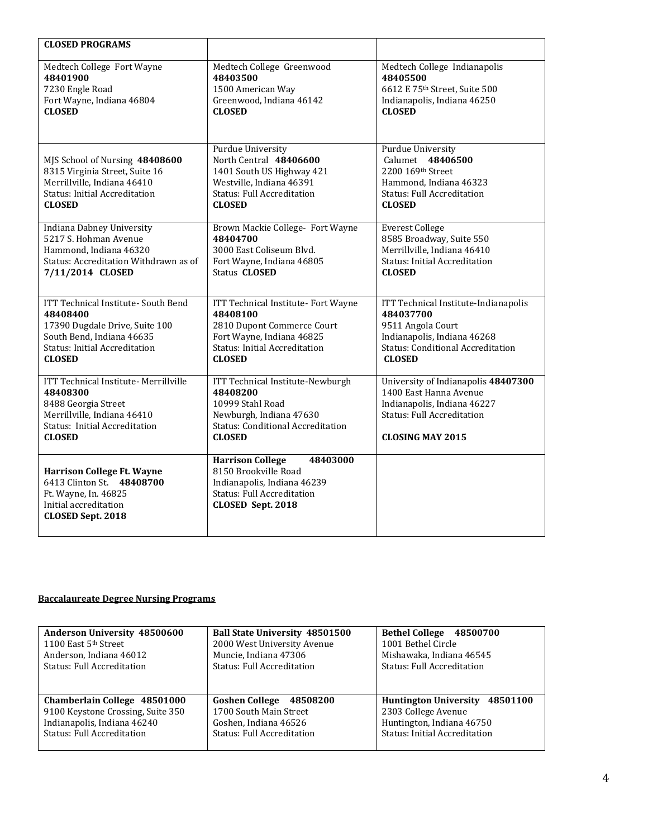| <b>CLOSED PROGRAMS</b>                                                                                                                                                         |                                                                                                                                                                     |                                                                                                                                                                    |
|--------------------------------------------------------------------------------------------------------------------------------------------------------------------------------|---------------------------------------------------------------------------------------------------------------------------------------------------------------------|--------------------------------------------------------------------------------------------------------------------------------------------------------------------|
| Medtech College Fort Wayne<br>48401900<br>7230 Engle Road<br>Fort Wayne, Indiana 46804<br><b>CLOSED</b>                                                                        | Medtech College Greenwood<br>48403500<br>1500 American Way<br>Greenwood, Indiana 46142<br><b>CLOSED</b>                                                             | Medtech College Indianapolis<br>48405500<br>6612 E 75th Street, Suite 500<br>Indianapolis, Indiana 46250<br><b>CLOSED</b>                                          |
| MJS School of Nursing 48408600<br>8315 Virginia Street, Suite 16<br>Merrillville, Indiana 46410<br><b>Status: Initial Accreditation</b><br><b>CLOSED</b>                       | Purdue University<br>North Central 48406600<br>1401 South US Highway 421<br>Westville, Indiana 46391<br><b>Status: Full Accreditation</b><br><b>CLOSED</b>          | Purdue University<br>Calumet 48406500<br>2200 169th Street<br>Hammond, Indiana 46323<br><b>Status: Full Accreditation</b><br><b>CLOSED</b>                         |
| Indiana Dabney University<br>5217 S. Hohman Avenue<br>Hammond, Indiana 46320<br>Status: Accreditation Withdrawn as of<br>7/11/2014 CLOSED                                      | Brown Mackie College- Fort Wayne<br>48404700<br>3000 East Coliseum Blvd.<br>Fort Wayne, Indiana 46805<br>Status <b>CLOSED</b>                                       | <b>Everest College</b><br>8585 Broadway, Suite 550<br>Merrillville, Indiana 46410<br><b>Status: Initial Accreditation</b><br><b>CLOSED</b>                         |
| <b>ITT Technical Institute- South Bend</b><br>48408400<br>17390 Dugdale Drive, Suite 100<br>South Bend, Indiana 46635<br><b>Status: Initial Accreditation</b><br><b>CLOSED</b> | ITT Technical Institute- Fort Wayne<br>48408100<br>2810 Dupont Commerce Court<br>Fort Wayne, Indiana 46825<br><b>Status: Initial Accreditation</b><br><b>CLOSED</b> | ITT Technical Institute-Indianapolis<br>484037700<br>9511 Angola Court<br>Indianapolis, Indiana 46268<br><b>Status: Conditional Accreditation</b><br><b>CLOSED</b> |
| ITT Technical Institute- Merrillville<br>48408300<br>8488 Georgia Street<br>Merrillville, Indiana 46410<br>Status: Initial Accreditation<br><b>CLOSED</b>                      | ITT Technical Institute-Newburgh<br>48408200<br>10999 Stahl Road<br>Newburgh, Indiana 47630<br><b>Status: Conditional Accreditation</b><br><b>CLOSED</b>            | University of Indianapolis 48407300<br>1400 East Hanna Avenue<br>Indianapolis, Indiana 46227<br><b>Status: Full Accreditation</b><br><b>CLOSING MAY 2015</b>       |
| <b>Harrison College Ft. Wayne</b><br>6413 Clinton St. 48408700<br>Ft. Wayne, In. 46825<br>Initial accreditation<br><b>CLOSED Sept. 2018</b>                                    | 48403000<br><b>Harrison College</b><br>8150 Brookville Road<br>Indianapolis, Indiana 46239<br><b>Status: Full Accreditation</b><br>CLOSED Sept. 2018                |                                                                                                                                                                    |

## **Baccalaureate Degree Nursing Programs**

| Anderson University 48500600      | Ball State University 48501500    | Bethel College 48500700              |
|-----------------------------------|-----------------------------------|--------------------------------------|
| 1100 East 5th Street              | 2000 West University Avenue       | 1001 Bethel Circle                   |
| Anderson, Indiana 46012           | Muncie, Indiana 47306             | Mishawaka, Indiana 46545             |
| <b>Status: Full Accreditation</b> | <b>Status: Full Accreditation</b> | <b>Status: Full Accreditation</b>    |
| Chamberlain College 48501000      | Goshen College 48508200           | Huntington University 48501100       |
| 9100 Keystone Crossing, Suite 350 | 1700 South Main Street            | 2303 College Avenue                  |
| Indianapolis, Indiana 46240       | Goshen. Indiana 46526             | Huntington, Indiana 46750            |
| <b>Status: Full Accreditation</b> | <b>Status: Full Accreditation</b> | <b>Status: Initial Accreditation</b> |